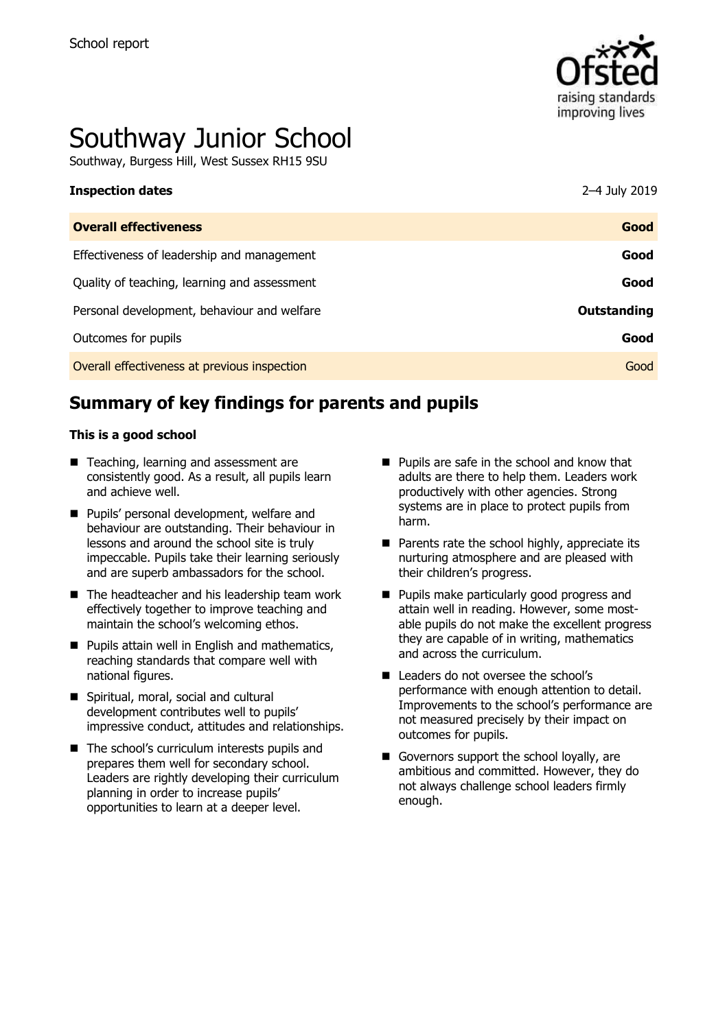

# Southway Junior School

Southway, Burgess Hill, West Sussex RH15 9SU

| <b>Inspection dates</b>                      | 2–4 July 2019 |
|----------------------------------------------|---------------|
| <b>Overall effectiveness</b>                 | Good          |
| Effectiveness of leadership and management   | Good          |
| Quality of teaching, learning and assessment | Good          |
| Personal development, behaviour and welfare  | Outstanding   |
| Outcomes for pupils                          | Good          |
| Overall effectiveness at previous inspection | Good          |

# **Summary of key findings for parents and pupils**

#### **This is a good school**

- Teaching, learning and assessment are consistently good. As a result, all pupils learn and achieve well.
- **Pupils' personal development, welfare and** behaviour are outstanding. Their behaviour in lessons and around the school site is truly impeccable. Pupils take their learning seriously and are superb ambassadors for the school.
- The headteacher and his leadership team work effectively together to improve teaching and maintain the school's welcoming ethos.
- **Pupils attain well in English and mathematics,** reaching standards that compare well with national figures.
- Spiritual, moral, social and cultural development contributes well to pupils' impressive conduct, attitudes and relationships.
- The school's curriculum interests pupils and prepares them well for secondary school. Leaders are rightly developing their curriculum planning in order to increase pupils' opportunities to learn at a deeper level.
- **Pupils are safe in the school and know that** adults are there to help them. Leaders work productively with other agencies. Strong systems are in place to protect pupils from harm.
- $\blacksquare$  Parents rate the school highly, appreciate its nurturing atmosphere and are pleased with their children's progress.
- **Pupils make particularly good progress and** attain well in reading. However, some mostable pupils do not make the excellent progress they are capable of in writing, mathematics and across the curriculum.
- Leaders do not oversee the school's performance with enough attention to detail. Improvements to the school's performance are not measured precisely by their impact on outcomes for pupils.
- Governors support the school loyally, are ambitious and committed. However, they do not always challenge school leaders firmly enough.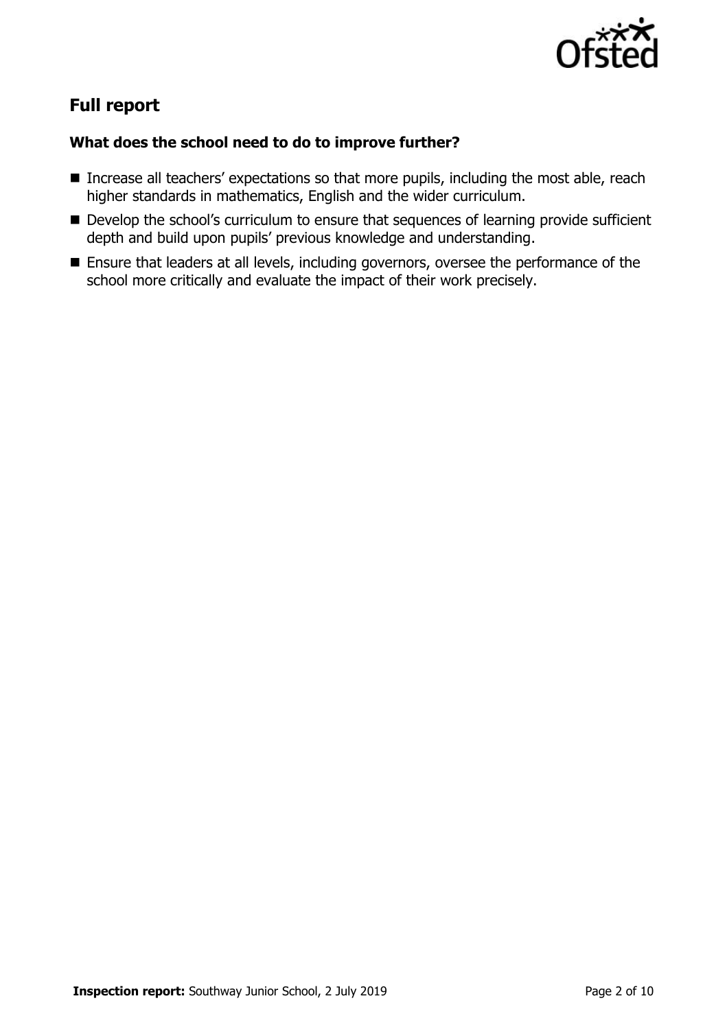

# **Full report**

### **What does the school need to do to improve further?**

- Increase all teachers' expectations so that more pupils, including the most able, reach higher standards in mathematics, English and the wider curriculum.
- Develop the school's curriculum to ensure that sequences of learning provide sufficient depth and build upon pupils' previous knowledge and understanding.
- Ensure that leaders at all levels, including governors, oversee the performance of the school more critically and evaluate the impact of their work precisely.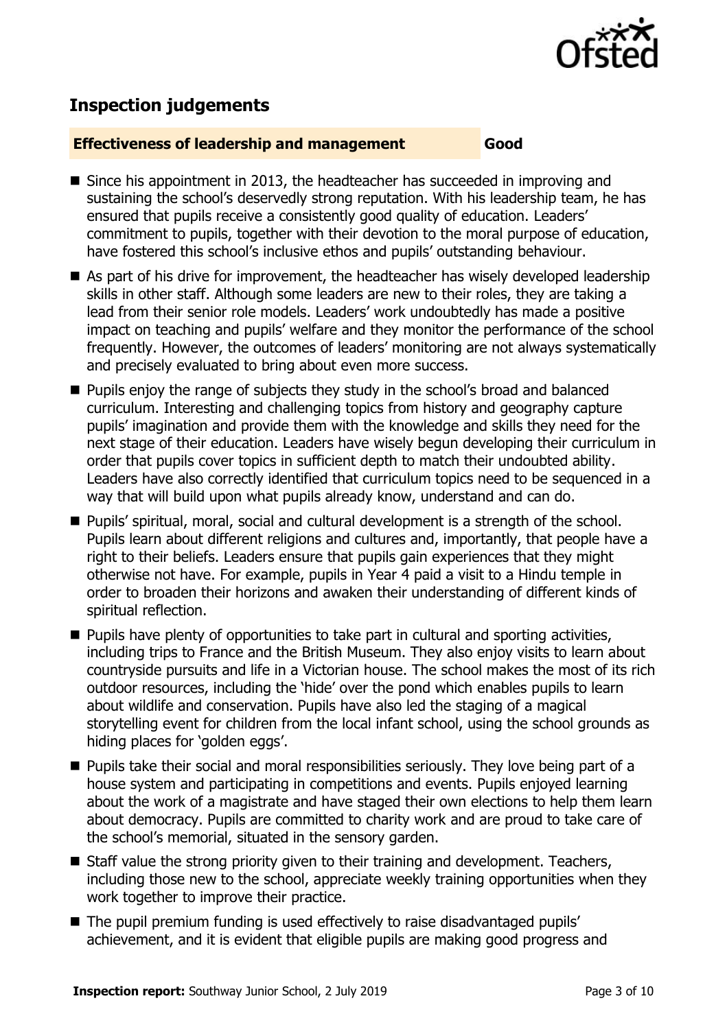

# **Inspection judgements**

#### **Effectiveness of leadership and management Good**

- Since his appointment in 2013, the headteacher has succeeded in improving and sustaining the school's deservedly strong reputation. With his leadership team, he has ensured that pupils receive a consistently good quality of education. Leaders' commitment to pupils, together with their devotion to the moral purpose of education, have fostered this school's inclusive ethos and pupils' outstanding behaviour.
- As part of his drive for improvement, the headteacher has wisely developed leadership skills in other staff. Although some leaders are new to their roles, they are taking a lead from their senior role models. Leaders' work undoubtedly has made a positive impact on teaching and pupils' welfare and they monitor the performance of the school frequently. However, the outcomes of leaders' monitoring are not always systematically and precisely evaluated to bring about even more success.
- **Pupils enjoy the range of subjects they study in the school's broad and balanced** curriculum. Interesting and challenging topics from history and geography capture pupils' imagination and provide them with the knowledge and skills they need for the next stage of their education. Leaders have wisely begun developing their curriculum in order that pupils cover topics in sufficient depth to match their undoubted ability. Leaders have also correctly identified that curriculum topics need to be sequenced in a way that will build upon what pupils already know, understand and can do.
- Pupils' spiritual, moral, social and cultural development is a strength of the school. Pupils learn about different religions and cultures and, importantly, that people have a right to their beliefs. Leaders ensure that pupils gain experiences that they might otherwise not have. For example, pupils in Year 4 paid a visit to a Hindu temple in order to broaden their horizons and awaken their understanding of different kinds of spiritual reflection.
- **Pupils have plenty of opportunities to take part in cultural and sporting activities,** including trips to France and the British Museum. They also enjoy visits to learn about countryside pursuits and life in a Victorian house. The school makes the most of its rich outdoor resources, including the 'hide' over the pond which enables pupils to learn about wildlife and conservation. Pupils have also led the staging of a magical storytelling event for children from the local infant school, using the school grounds as hiding places for 'golden eggs'.
- **Pupils take their social and moral responsibilities seriously. They love being part of a** house system and participating in competitions and events. Pupils enjoyed learning about the work of a magistrate and have staged their own elections to help them learn about democracy. Pupils are committed to charity work and are proud to take care of the school's memorial, situated in the sensory garden.
- $\blacksquare$  Staff value the strong priority given to their training and development. Teachers, including those new to the school, appreciate weekly training opportunities when they work together to improve their practice.
- The pupil premium funding is used effectively to raise disadvantaged pupils' achievement, and it is evident that eligible pupils are making good progress and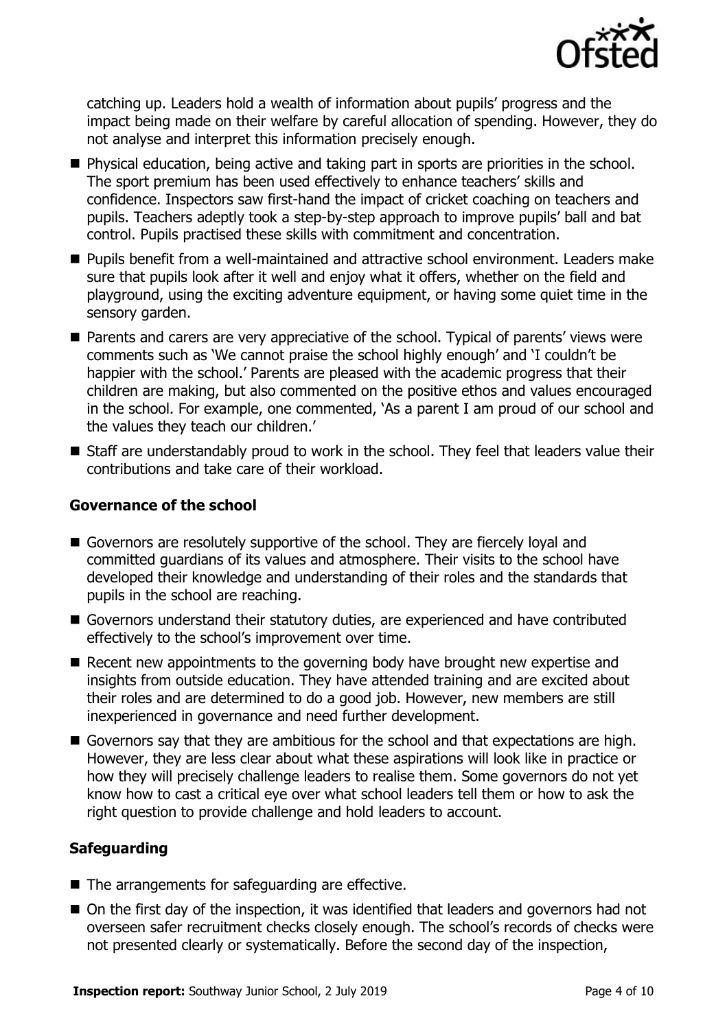

catching up. Leaders hold a wealth of information about pupils' progress and the impact being made on their welfare by careful allocation of spending. However, they do not analyse and interpret this information precisely enough.

- Physical education, being active and taking part in sports are priorities in the school. The sport premium has been used effectively to enhance teachers' skills and confidence. Inspectors saw first-hand the impact of cricket coaching on teachers and pupils. Teachers adeptly took a step-by-step approach to improve pupils' ball and bat control. Pupils practised these skills with commitment and concentration.
- **Pupils benefit from a well-maintained and attractive school environment. Leaders make** sure that pupils look after it well and enjoy what it offers, whether on the field and playground, using the exciting adventure equipment, or having some quiet time in the sensory garden.
- Parents and carers are very appreciative of the school. Typical of parents' views were comments such as 'We cannot praise the school highly enough' and 'I couldn't be happier with the school.' Parents are pleased with the academic progress that their children are making, but also commented on the positive ethos and values encouraged in the school. For example, one commented, 'As a parent I am proud of our school and the values they teach our children.'
- Staff are understandably proud to work in the school. They feel that leaders value their contributions and take care of their workload.

#### **Governance of the school**

- Governors are resolutely supportive of the school. They are fiercely loyal and committed guardians of its values and atmosphere. Their visits to the school have developed their knowledge and understanding of their roles and the standards that pupils in the school are reaching.
- Governors understand their statutory duties, are experienced and have contributed effectively to the school's improvement over time.
- Recent new appointments to the governing body have brought new expertise and insights from outside education. They have attended training and are excited about their roles and are determined to do a good job. However, new members are still inexperienced in governance and need further development.
- Governors say that they are ambitious for the school and that expectations are high. However, they are less clear about what these aspirations will look like in practice or how they will precisely challenge leaders to realise them. Some governors do not yet know how to cast a critical eye over what school leaders tell them or how to ask the right question to provide challenge and hold leaders to account.

#### **Safeguarding**

- The arrangements for safeguarding are effective.
- On the first day of the inspection, it was identified that leaders and governors had not overseen safer recruitment checks closely enough. The school's records of checks were not presented clearly or systematically. Before the second day of the inspection,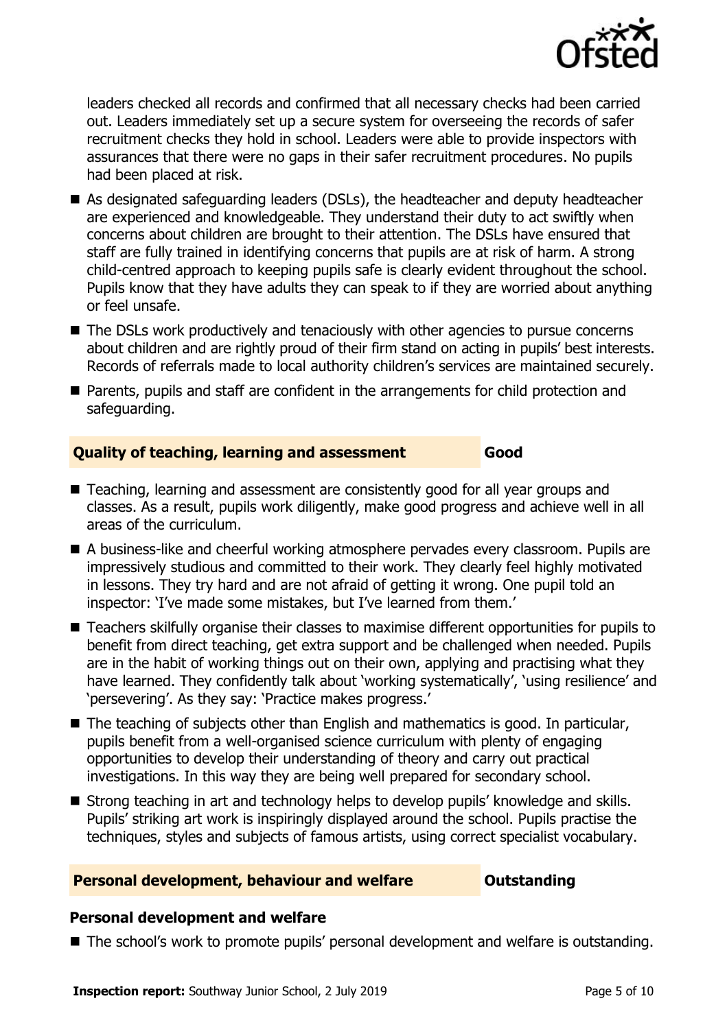

leaders checked all records and confirmed that all necessary checks had been carried out. Leaders immediately set up a secure system for overseeing the records of safer recruitment checks they hold in school. Leaders were able to provide inspectors with assurances that there were no gaps in their safer recruitment procedures. No pupils had been placed at risk.

- As designated safeguarding leaders (DSLs), the headteacher and deputy headteacher are experienced and knowledgeable. They understand their duty to act swiftly when concerns about children are brought to their attention. The DSLs have ensured that staff are fully trained in identifying concerns that pupils are at risk of harm. A strong child-centred approach to keeping pupils safe is clearly evident throughout the school. Pupils know that they have adults they can speak to if they are worried about anything or feel unsafe.
- The DSLs work productively and tenaciously with other agencies to pursue concerns about children and are rightly proud of their firm stand on acting in pupils' best interests. Records of referrals made to local authority children's services are maintained securely.
- Parents, pupils and staff are confident in the arrangements for child protection and safeguarding.

#### **Quality of teaching, learning and assessment Good**

- Teaching, learning and assessment are consistently good for all year groups and classes. As a result, pupils work diligently, make good progress and achieve well in all areas of the curriculum.
- A business-like and cheerful working atmosphere pervades every classroom. Pupils are impressively studious and committed to their work. They clearly feel highly motivated in lessons. They try hard and are not afraid of getting it wrong. One pupil told an inspector: 'I've made some mistakes, but I've learned from them.'
- Teachers skilfully organise their classes to maximise different opportunities for pupils to benefit from direct teaching, get extra support and be challenged when needed. Pupils are in the habit of working things out on their own, applying and practising what they have learned. They confidently talk about 'working systematically', 'using resilience' and 'persevering'. As they say: 'Practice makes progress.'
- The teaching of subjects other than English and mathematics is good. In particular, pupils benefit from a well-organised science curriculum with plenty of engaging opportunities to develop their understanding of theory and carry out practical investigations. In this way they are being well prepared for secondary school.
- Strong teaching in art and technology helps to develop pupils' knowledge and skills. Pupils' striking art work is inspiringly displayed around the school. Pupils practise the techniques, styles and subjects of famous artists, using correct specialist vocabulary.

#### **Personal development, behaviour and welfare <b>COUTS** Outstanding

#### **Personal development and welfare**

■ The school's work to promote pupils' personal development and welfare is outstanding.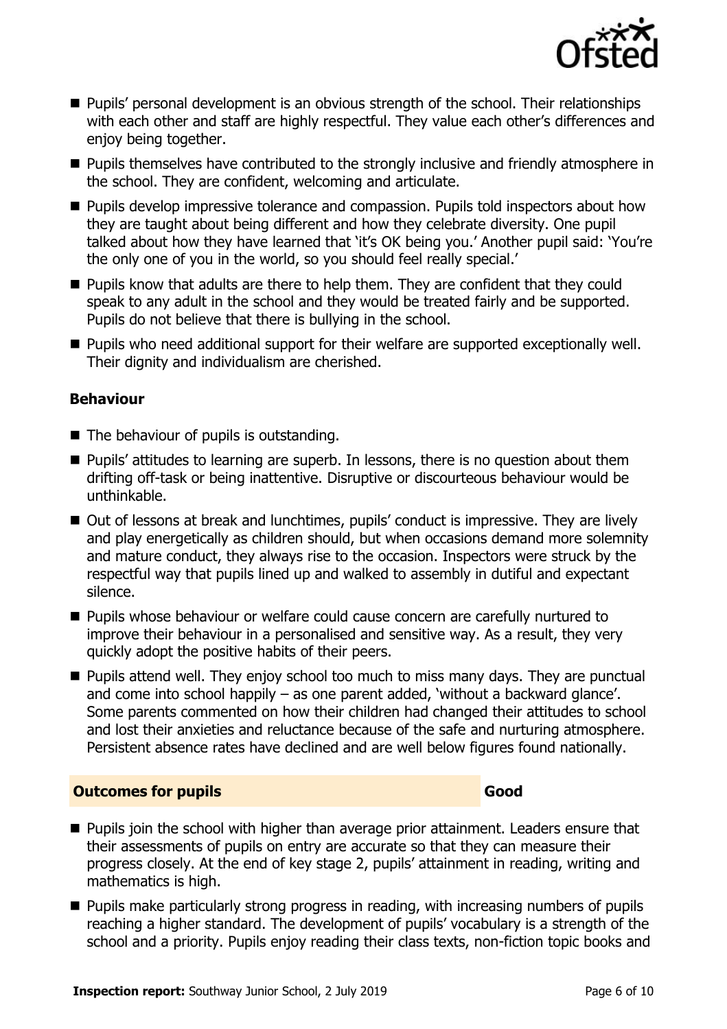

- **Pupils' personal development is an obvious strength of the school. Their relationships** with each other and staff are highly respectful. They value each other's differences and enjoy being together.
- **Pupils themselves have contributed to the strongly inclusive and friendly atmosphere in** the school. They are confident, welcoming and articulate.
- **Pupils develop impressive tolerance and compassion. Pupils told inspectors about how** they are taught about being different and how they celebrate diversity. One pupil talked about how they have learned that 'it's OK being you.' Another pupil said: 'You're the only one of you in the world, so you should feel really special.'
- **Pupils know that adults are there to help them. They are confident that they could** speak to any adult in the school and they would be treated fairly and be supported. Pupils do not believe that there is bullying in the school.
- **Pupils who need additional support for their welfare are supported exceptionally well.** Their dignity and individualism are cherished.

#### **Behaviour**

- $\blacksquare$  The behaviour of pupils is outstanding.
- **Pupils' attitudes to learning are superb. In lessons, there is no question about them** drifting off-task or being inattentive. Disruptive or discourteous behaviour would be unthinkable.
- Out of lessons at break and lunchtimes, pupils' conduct is impressive. They are lively and play energetically as children should, but when occasions demand more solemnity and mature conduct, they always rise to the occasion. Inspectors were struck by the respectful way that pupils lined up and walked to assembly in dutiful and expectant silence.
- Pupils whose behaviour or welfare could cause concern are carefully nurtured to improve their behaviour in a personalised and sensitive way. As a result, they very quickly adopt the positive habits of their peers.
- **Pupils attend well. They enjoy school too much to miss many days. They are punctual** and come into school happily – as one parent added, 'without a backward glance'. Some parents commented on how their children had changed their attitudes to school and lost their anxieties and reluctance because of the safe and nurturing atmosphere. Persistent absence rates have declined and are well below figures found nationally.

#### **Outcomes for pupils Good Good**

- **Pupils join the school with higher than average prior attainment. Leaders ensure that** their assessments of pupils on entry are accurate so that they can measure their progress closely. At the end of key stage 2, pupils' attainment in reading, writing and mathematics is high.
- **Pupils make particularly strong progress in reading, with increasing numbers of pupils** reaching a higher standard. The development of pupils' vocabulary is a strength of the school and a priority. Pupils enjoy reading their class texts, non-fiction topic books and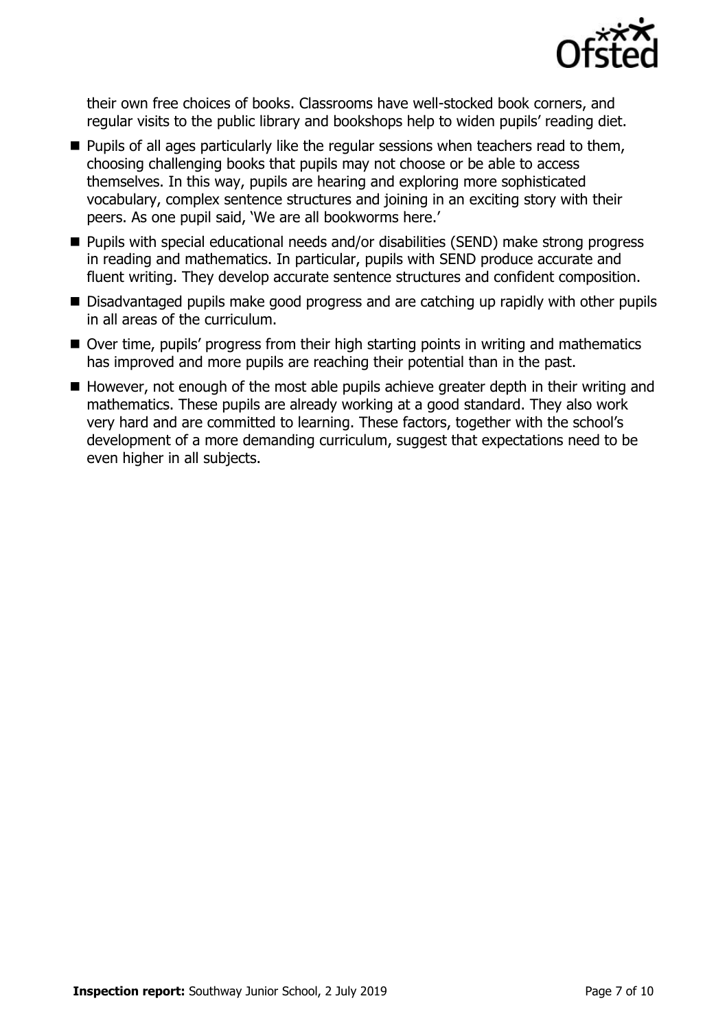

their own free choices of books. Classrooms have well-stocked book corners, and regular visits to the public library and bookshops help to widen pupils' reading diet.

- **Pupils of all ages particularly like the regular sessions when teachers read to them,** choosing challenging books that pupils may not choose or be able to access themselves. In this way, pupils are hearing and exploring more sophisticated vocabulary, complex sentence structures and joining in an exciting story with their peers. As one pupil said, 'We are all bookworms here.'
- Pupils with special educational needs and/or disabilities (SEND) make strong progress in reading and mathematics. In particular, pupils with SEND produce accurate and fluent writing. They develop accurate sentence structures and confident composition.
- Disadvantaged pupils make good progress and are catching up rapidly with other pupils in all areas of the curriculum.
- Over time, pupils' progress from their high starting points in writing and mathematics has improved and more pupils are reaching their potential than in the past.
- $\blacksquare$  However, not enough of the most able pupils achieve greater depth in their writing and mathematics. These pupils are already working at a good standard. They also work very hard and are committed to learning. These factors, together with the school's development of a more demanding curriculum, suggest that expectations need to be even higher in all subjects.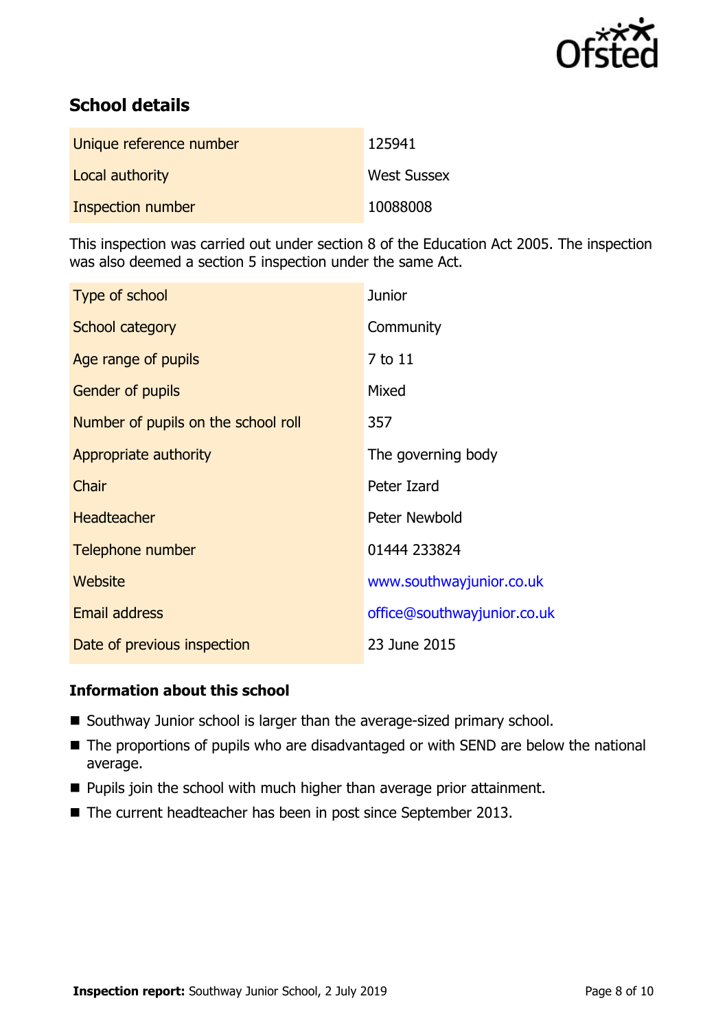

# **School details**

| Unique reference number | 125941             |
|-------------------------|--------------------|
| Local authority         | <b>West Sussex</b> |
| Inspection number       | 10088008           |

This inspection was carried out under section 8 of the Education Act 2005. The inspection was also deemed a section 5 inspection under the same Act.

| Type of school                      | <b>Junior</b>               |
|-------------------------------------|-----------------------------|
| School category                     | Community                   |
| Age range of pupils                 | 7 to 11                     |
| <b>Gender of pupils</b>             | Mixed                       |
| Number of pupils on the school roll | 357                         |
| Appropriate authority               | The governing body          |
| Chair                               | Peter Izard                 |
| <b>Headteacher</b>                  | Peter Newbold               |
| Telephone number                    | 01444 233824                |
| Website                             | www.southwayjunior.co.uk    |
| Email address                       | office@southwayjunior.co.uk |
| Date of previous inspection         | 23 June 2015                |

#### **Information about this school**

- Southway Junior school is larger than the average-sized primary school.
- The proportions of pupils who are disadvantaged or with SEND are below the national average.
- **Pupils join the school with much higher than average prior attainment.**
- The current headteacher has been in post since September 2013.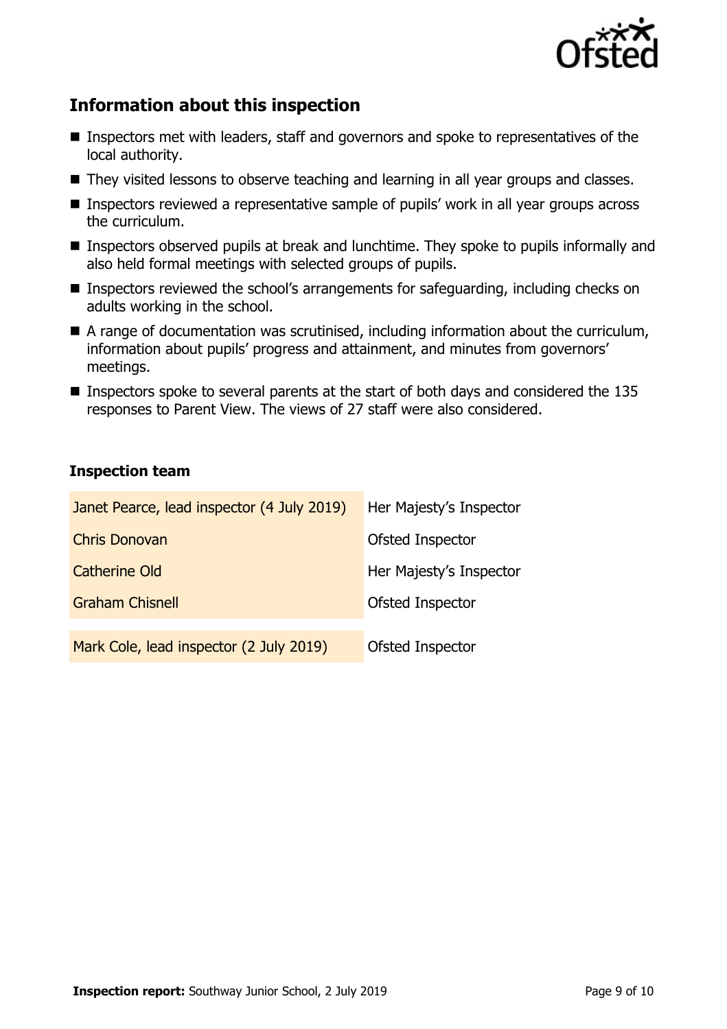

# **Information about this inspection**

- Inspectors met with leaders, staff and governors and spoke to representatives of the local authority.
- They visited lessons to observe teaching and learning in all year groups and classes.
- Inspectors reviewed a representative sample of pupils' work in all year groups across the curriculum.
- Inspectors observed pupils at break and lunchtime. They spoke to pupils informally and also held formal meetings with selected groups of pupils.
- Inspectors reviewed the school's arrangements for safeguarding, including checks on adults working in the school.
- A range of documentation was scrutinised, including information about the curriculum, information about pupils' progress and attainment, and minutes from governors' meetings.
- **Inspectors spoke to several parents at the start of both days and considered the 135** responses to Parent View. The views of 27 staff were also considered.

#### **Inspection team**

| Janet Pearce, lead inspector (4 July 2019) | Her Majesty's Inspector |
|--------------------------------------------|-------------------------|
| <b>Chris Donovan</b>                       | Ofsted Inspector        |
| <b>Catherine Old</b>                       | Her Majesty's Inspector |
| <b>Graham Chisnell</b>                     | Ofsted Inspector        |
|                                            |                         |
| Mark Cole, lead inspector (2 July 2019)    | Ofsted Inspector        |